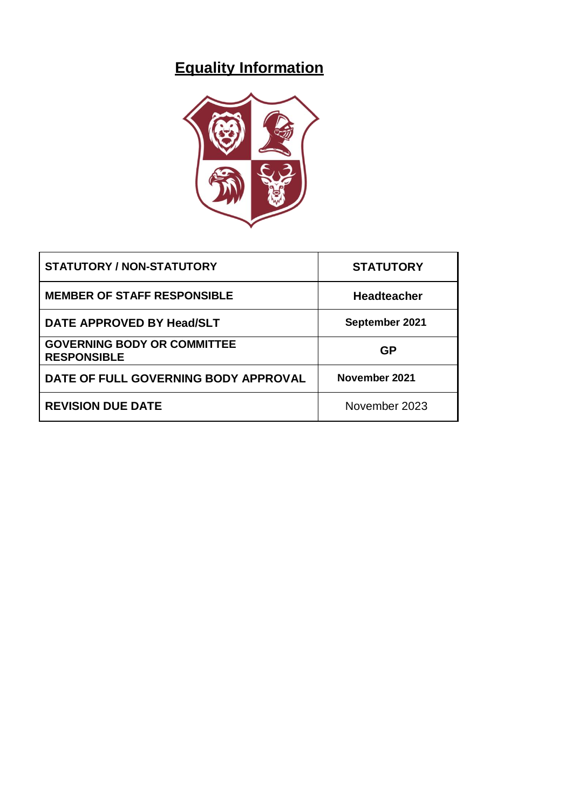# **Equality Information**



| <b>STATUTORY / NON-STATUTORY</b>                         | <b>STATUTORY</b>   |
|----------------------------------------------------------|--------------------|
| <b>MEMBER OF STAFF RESPONSIBLE</b>                       | <b>Headteacher</b> |
| DATE APPROVED BY Head/SLT                                | September 2021     |
| <b>GOVERNING BODY OR COMMITTEE</b><br><b>RESPONSIBLE</b> | <b>GP</b>          |
| DATE OF FULL GOVERNING BODY APPROVAL                     | November 2021      |
| <b>REVISION DUE DATE</b>                                 | November 2023      |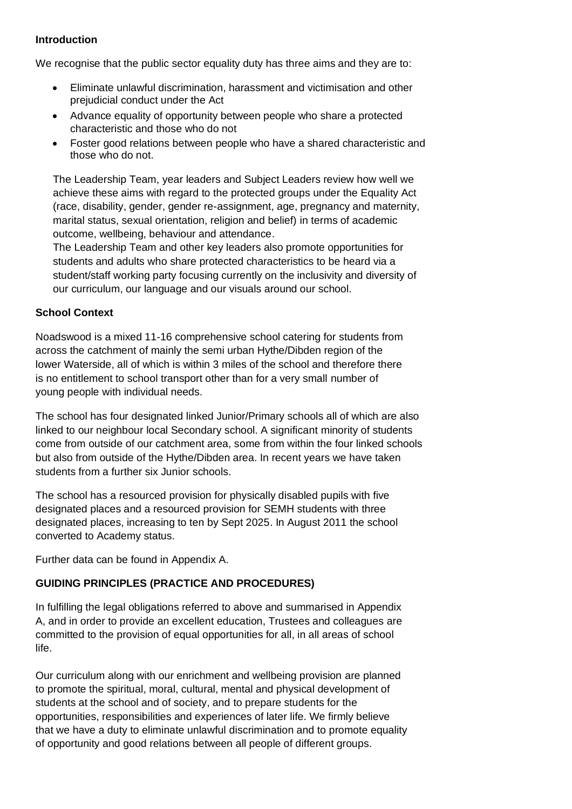### **Introduction**

We recognise that the public sector equality duty has three aims and they are to:

- Eliminate unlawful discrimination, harassment and victimisation and other prejudicial conduct under the Act
- Advance equality of opportunity between people who share a protected characteristic and those who do not
- Foster good relations between people who have a shared characteristic and those who do not.

The Leadership Team, year leaders and Subject Leaders review how well we achieve these aims with regard to the protected groups under the Equality Act (race, disability, gender, gender re-assignment, age, pregnancy and maternity, marital status, sexual orientation, religion and belief) in terms of academic outcome, wellbeing, behaviour and attendance.

The Leadership Team and other key leaders also promote opportunities for students and adults who share protected characteristics to be heard via a student/staff working party focusing currently on the inclusivity and diversity of our curriculum, our language and our visuals around our school.

### **School Context**

Noadswood is a mixed 11-16 comprehensive school catering for students from across the catchment of mainly the semi urban Hythe/Dibden region of the lower Waterside, all of which is within 3 miles of the school and therefore there is no entitlement to school transport other than for a very small number of young people with individual needs.

The school has four designated linked Junior/Primary schools all of which are also linked to our neighbour local Secondary school. A significant minority of students come from outside of our catchment area, some from within the four linked schools but also from outside of the Hythe/Dibden area. In recent years we have taken students from a further six Junior schools.

The school has a resourced provision for physically disabled pupils with five designated places and a resourced provision for SEMH students with three designated places, increasing to ten by Sept 2025. In August 2011 the school converted to Academy status.

Further data can be found in Appendix A.

## **GUIDING PRINCIPLES (PRACTICE AND PROCEDURES)**

In fulfilling the legal obligations referred to above and summarised in Appendix A, and in order to provide an excellent education, Trustees and colleagues are committed to the provision of equal opportunities for all, in all areas of school life.

Our curriculum along with our enrichment and wellbeing provision are planned to promote the spiritual, moral, cultural, mental and physical development of students at the school and of society, and to prepare students for the opportunities, responsibilities and experiences of later life. We firmly believe that we have a duty to eliminate unlawful discrimination and to promote equality of opportunity and good relations between all people of different groups.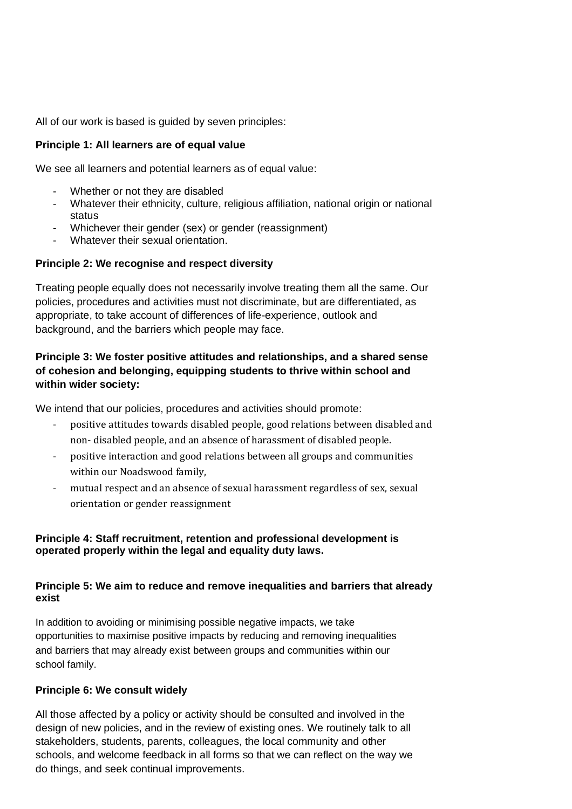All of our work is based is guided by seven principles:

## **Principle 1: All learners are of equal value**

We see all learners and potential learners as of equal value:

- Whether or not they are disabled
- Whatever their ethnicity, culture, religious affiliation, national origin or national status
- Whichever their gender (sex) or gender (reassignment)
- Whatever their sexual orientation.

## **Principle 2: We recognise and respect diversity**

Treating people equally does not necessarily involve treating them all the same. Our policies, procedures and activities must not discriminate, but are differentiated, as appropriate, to take account of differences of life-experience, outlook and background, and the barriers which people may face.

## **Principle 3: We foster positive attitudes and relationships, and a shared sense of cohesion and belonging, equipping students to thrive within school and within wider society:**

We intend that our policies, procedures and activities should promote:

- positive attitudes towards disabled people, good relations between disabled and non- disabled people, and an absence of harassment of disabled people.
- positive interaction and good relations between all groups and communities within our Noadswood family,
- mutual respect and an absence of sexual harassment regardless of sex, sexual orientation or gender reassignment

## **Principle 4: Staff recruitment, retention and professional development is operated properly within the legal and equality duty laws.**

## **Principle 5: We aim to reduce and remove inequalities and barriers that already exist**

In addition to avoiding or minimising possible negative impacts, we take opportunities to maximise positive impacts by reducing and removing inequalities and barriers that may already exist between groups and communities within our school family.

## **Principle 6: We consult widely**

All those affected by a policy or activity should be consulted and involved in the design of new policies, and in the review of existing ones. We routinely talk to all stakeholders, students, parents, colleagues, the local community and other schools, and welcome feedback in all forms so that we can reflect on the way we do things, and seek continual improvements.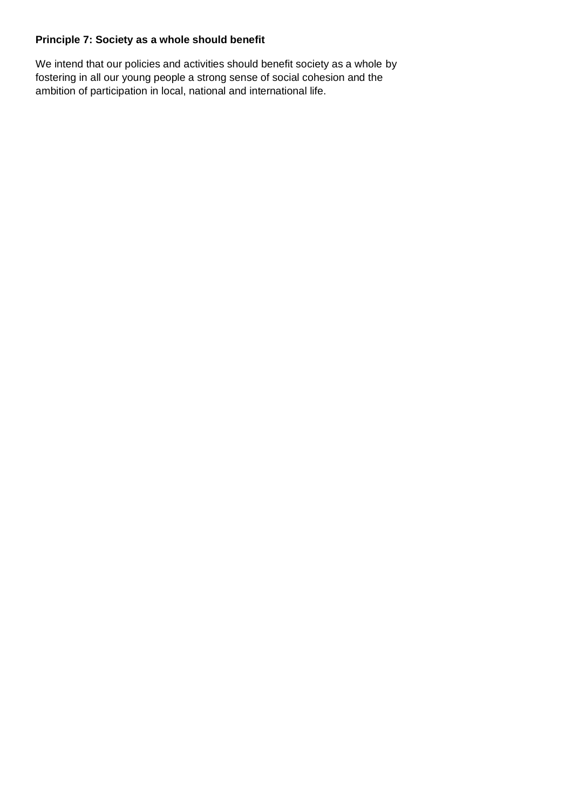## **Principle 7: Society as a whole should benefit**

We intend that our policies and activities should benefit society as a whole by fostering in all our young people a strong sense of social cohesion and the ambition of participation in local, national and international life.